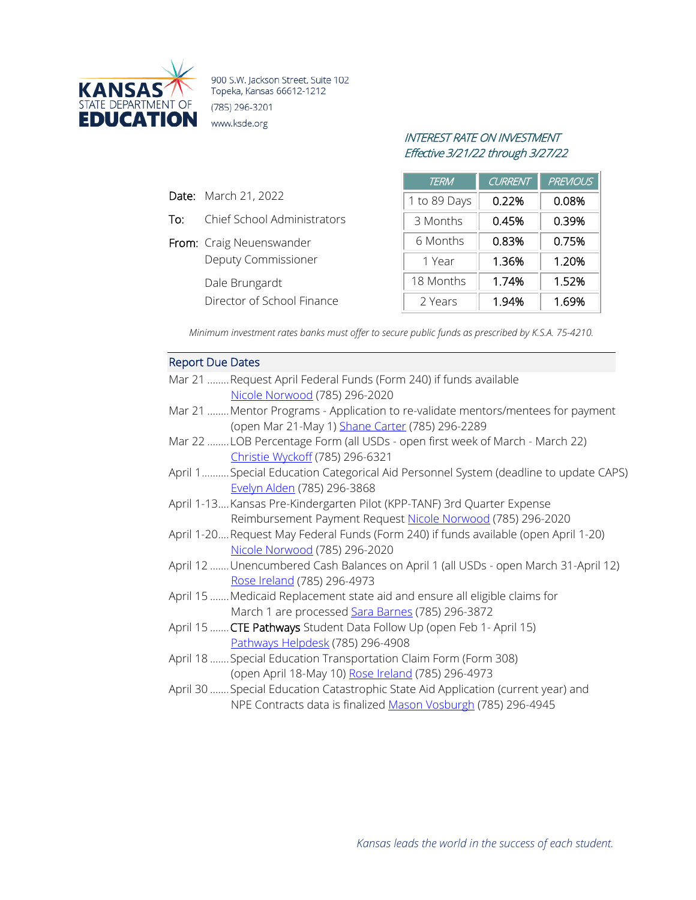

900 S.W. Jackson Street, Suite 102 Topeka, Kansas 66612-1212 (785) 296-3201 www.ksde.org

## INTEREST RATE ON INVESTMENT Effective 3/21/22 through 3/27/22

| <b>TERM</b>  | <b>CURRENT</b> | <b>PREVIOUS</b> |
|--------------|----------------|-----------------|
| 1 to 89 Days | 0.22%          | 0.08%           |
| 3 Months     | 0.45%          | 0.39%           |
| 6 Months     | 0.83%          | 0.75%           |
| 1 Year       | 1.36%          | 1.20%           |
| 18 Months    | 1.74%          | 1.52%           |
| 2 Years      | 1.94%          | 1.69%           |

*Minimum investment rates banks must offer to secure public funds as prescribed by K.S.A. 75-4210.*

## Report Due Dates

Date: March 21, 2022

To: Chief School Administrators

Deputy Commissioner

Director of School Finance

From: Craig Neuenswander

Dale Brungardt

| Mar 21 Request April Federal Funds (Form 240) if funds available                     |
|--------------------------------------------------------------------------------------|
| Nicole Norwood (785) 296-2020                                                        |
|                                                                                      |
| Mar 21  Mentor Programs - Application to re-validate mentors/mentees for payment     |
| (open Mar 21-May 1) Shane Carter (785) 296-2289                                      |
| Mar 22 LOB Percentage Form (all USDs - open first week of March - March 22)          |
| Christie Wyckoff (785) 296-6321                                                      |
| April 1 Special Education Categorical Aid Personnel System (deadline to update CAPS) |
| Evelyn Alden (785) 296-3868                                                          |
| April 1-13 Kansas Pre-Kindergarten Pilot (KPP-TANF) 3rd Quarter Expense              |
| Reimbursement Payment Request Nicole Norwood (785) 296-2020                          |
| April 1-20Request May Federal Funds (Form 240) if funds available (open April 1-20)  |
| Nicole Norwood (785) 296-2020                                                        |
| April 12 Unencumbered Cash Balances on April 1 (all USDs - open March 31-April 12)   |
| Rose Ireland (785) 296-4973                                                          |
| April 15 Medicaid Replacement state aid and ensure all eligible claims for           |
| March 1 are processed Sara Barnes (785) 296-3872                                     |
| April 15 <b>CTE Pathways</b> Student Data Follow Up (open Feb 1- April 15)           |
| Pathways Helpdesk (785) 296-4908                                                     |
| April 18  Special Education Transportation Claim Form (Form 308)                     |
| (open April 18-May 10) Rose Ireland (785) 296-4973                                   |
| April 30  Special Education Catastrophic State Aid Application (current year) and    |
| NPE Contracts data is finalized Mason Vosburgh (785) 296-4945                        |
|                                                                                      |